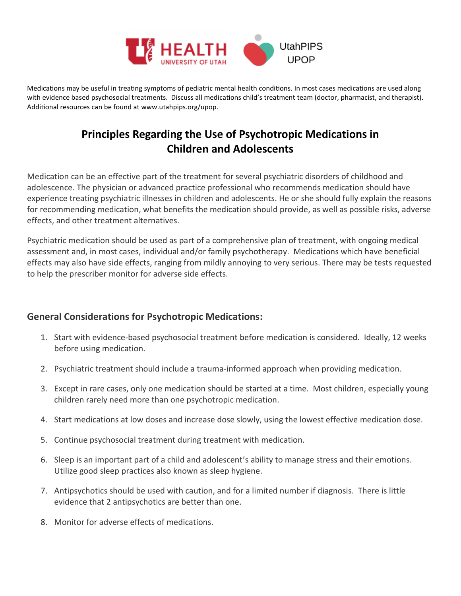

Medications may be useful in treating symptoms of pediatric mental health conditions. In most cases medications are used along with evidence based psychosocial treatments. Discuss all medications child's treatment team (doctor, pharmacist, and therapist). Additional resources can be found at www.utahpips.org/upop.

# **Principles Regarding the Use of Psychotropic Medications in Children and Adolescents**

Medication can be an effective part of the treatment for several psychiatric disorders of childhood and adolescence. The physician or advanced practice professional who recommends medication should have experience treating psychiatric illnesses in children and adolescents. He or she should fully explain the reasons for recommending medication, what benefits the medication should provide, as well as possible risks, adverse effects, and other treatment alternatives.

Psychiatric medication should be used as part of a comprehensive plan of treatment, with ongoing medical assessment and, in most cases, individual and/or family psychotherapy. Medications which have beneficial effects may also have side effects, ranging from mildly annoying to very serious. There may be tests requested to help the prescriber monitor for adverse side effects.

### **General Considerations for Psychotropic Medications:**

- 1. Start with evidence-based psychosocial treatment before medication is considered. Ideally, 12 weeks before using medication.
- 2. Psychiatric treatment should include a trauma-informed approach when providing medication.
- 3. Except in rare cases, only one medication should be started at a time. Most children, especially young children rarely need more than one psychotropic medication.
- 4. Start medications at low doses and increase dose slowly, using the lowest effective medication dose.
- 5. Continue psychosocial treatment during treatment with medication.
- 6. Sleep is an important part of a child and adolescent's ability to manage stress and their emotions. Utilize good sleep practices also known as sleep hygiene.
- 7. Antipsychotics should be used with caution, and for a limited number if diagnosis. There is little evidence that 2 antipsychotics are better than one.
- 8. Monitor for adverse effects of medications.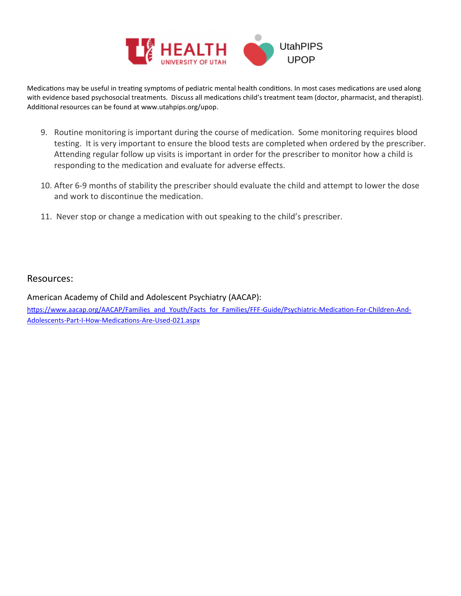

Medications may be useful in treating symptoms of pediatric mental health conditions. In most cases medications are used along with evidence based psychosocial treatments. Discuss all medications child's treatment team (doctor, pharmacist, and therapist). Additional resources can be found at www.utahpips.org/upop.

- 9. Routine monitoring is important during the course of medication. Some monitoring requires blood testing. It is very important to ensure the blood tests are completed when ordered by the prescriber. Attending regular follow up visits is important in order for the prescriber to monitor how a child is responding to the medication and evaluate for adverse effects.
- 10. After 6-9 months of stability the prescriber should evaluate the child and attempt to lower the dose and work to discontinue the medication.
- 11. Never stop or change a medication with out speaking to the child's prescriber.

#### Resources:

American Academy of Child and Adolescent Psychiatry (AACAP):

[https://www.aacap.org/AACAP/Families\\_and\\_Youth/Facts\\_for\\_Families/FFF-Guide/Psychiatric-Medication-For-Children-And-](https://www.aacap.org/AACAP/Families_and_Youth/Facts_for_Families/FFF-Guide/Psychiatric-Medication-For-Children-And-Adolescents-Part-I-How-Medications-Are-Used-021.aspx)[Adolescents-Part-I-How-Medications-Are-Used-021.aspx](https://www.aacap.org/AACAP/Families_and_Youth/Facts_for_Families/FFF-Guide/Psychiatric-Medication-For-Children-And-Adolescents-Part-I-How-Medications-Are-Used-021.aspx)